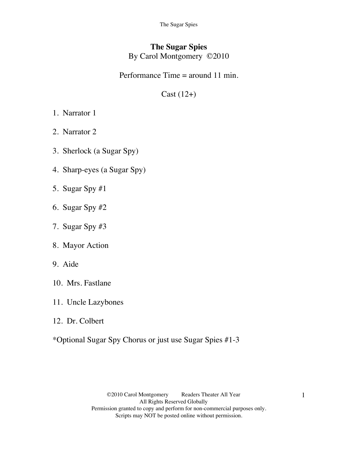The Sugar Spies

## **The Sugar Spies** By Carol Montgomery ©2010

### Performance Time = around 11 min.

# $Cast (12+)$

- 1. Narrator 1
- 2. Narrator 2
- 3. Sherlock (a Sugar Spy)
- 4. Sharp-eyes (a Sugar Spy)
- 5. Sugar Spy #1
- 6. Sugar Spy #2
- 7. Sugar Spy #3
- 8. Mayor Action
- 9. Aide
- 10. Mrs. Fastlane
- 11. Uncle Lazybones
- 12. Dr. Colbert
- \*Optional Sugar Spy Chorus or just use Sugar Spies #1-3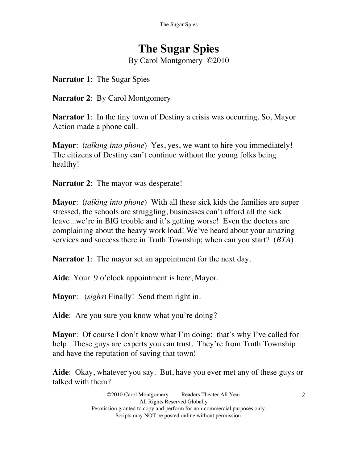# **The Sugar Spies**

By Carol Montgomery ©2010

**Narrator 1**: The Sugar Spies

**Narrator 2**: By Carol Montgomery

**Narrator 1:** In the tiny town of Destiny a crisis was occurring. So, Mayor Action made a phone call.

**Mayor**: (*talking into phone*) Yes, yes, we want to hire you immediately! The citizens of Destiny can't continue without the young folks being healthy!

**Narrator 2:** The mayor was desperate!

**Mayor**: (*talking into phone*) With all these sick kids the families are super stressed, the schools are struggling, businesses can't afford all the sick leave...we're in BIG trouble and it's getting worse! Even the doctors are complaining about the heavy work load! We've heard about your amazing services and success there in Truth Township; when can you start? (*BTA*)

**Narrator 1**: The mayor set an appointment for the next day.

**Aide**: Your 9 o'clock appointment is here, Mayor.

**Mayor**: (*sighs*) Finally! Send them right in.

Aide: Are you sure you know what you're doing?

**Mayor**: Of course I don't know what I'm doing; that's why I've called for help. These guys are experts you can trust. They're from Truth Township and have the reputation of saving that town!

**Aide**: Okay, whatever you say. But, have you ever met any of these guys or talked with them?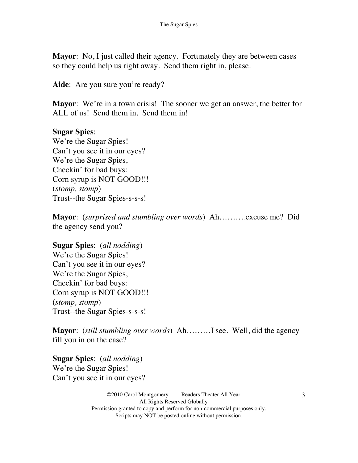**Mayor**: No, I just called their agency. Fortunately they are between cases so they could help us right away. Send them right in, please.

Aide: Are you sure you're ready?

**Mayor**: We're in a town crisis! The sooner we get an answer, the better for ALL of us! Send them in. Send them in!

### **Sugar Spies**:

We're the Sugar Spies! Can't you see it in our eyes? We're the Sugar Spies, Checkin' for bad buys: Corn syrup is NOT GOOD!!! (*stomp, stomp*) Trust--the Sugar Spies-s-s-s!

**Mayor**: (*surprised and stumbling over words*) Ah……….excuse me? Did the agency send you?

**Sugar Spies**: (*all nodding*) We're the Sugar Spies! Can't you see it in our eyes? We're the Sugar Spies, Checkin' for bad buys: Corn syrup is NOT GOOD!!! (*stomp, stomp*) Trust--the Sugar Spies-s-s-s!

**Mayor**: (*still stumbling over words*) Ah………I see. Well, did the agency fill you in on the case?

**Sugar Spies**: (*all nodding*) We're the Sugar Spies! Can't you see it in our eyes?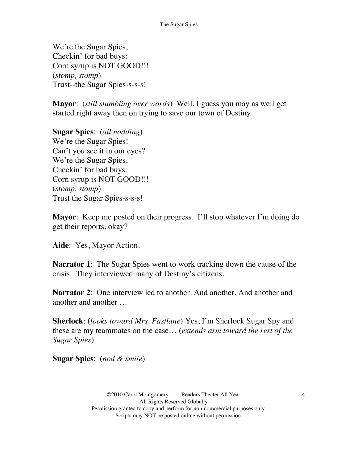We're the Sugar Spies, Checkin' for bad buys: Corn syrup is NOT GOOD!!! (*stomp, stomp*) Trust--the Sugar Spies-s-s-s!

**Mayor**: (*still stumbling over words*) Well, I guess you may as well get started right away then on trying to save our town of Destiny.

**Sugar Spies**: (*all nodding*) We're the Sugar Spies! Can't you see it in our eyes? We're the Sugar Spies, Checkin' for bad buys: Corn syrup is NOT GOOD!!! (*stomp, stomp*) Trust the Sugar Spies-s-s-s!

**Mayor**: Keep me posted on their progress. I'll stop whatever I'm doing do get their reports, okay?

**Aide**: Yes, Mayor Action.

**Narrator 1:** The Sugar Spies went to work tracking down the cause of the crisis. They interviewed many of Destiny's citizens.

**Narrator 2**: One interview led to another. And another. And another and another and another …

**Sherlock**: (*looks toward Mrs. Fastlane*) Yes, I'm Sherlock Sugar Spy and these are my teammates on the case… (*extends arm toward the rest of the Sugar Spies*)

**Sugar Spies**: (*nod & smile*)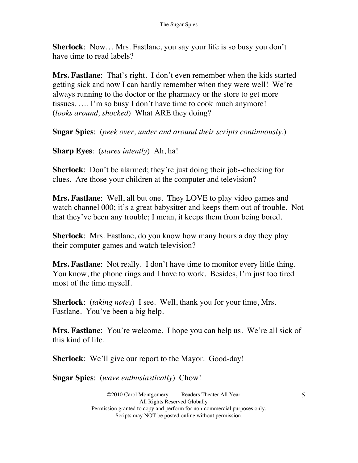**Sherlock**: Now… Mrs. Fastlane, you say your life is so busy you don't have time to read labels?

**Mrs. Fastlane**: That's right. I don't even remember when the kids started getting sick and now I can hardly remember when they were well! We're always running to the doctor or the pharmacy or the store to get more tissues. …. I'm so busy I don't have time to cook much anymore! (*looks around, shocked*) What ARE they doing?

**Sugar Spies**: (*peek over, under and around their scripts continuously*.)

**Sharp Eyes**: (*stares intently*) Ah, ha!

**Sherlock**: Don't be alarmed; they're just doing their job--checking for clues. Are those your children at the computer and television?

**Mrs. Fastlane**: Well, all but one. They LOVE to play video games and watch channel 000; it's a great babysitter and keeps them out of trouble. Not that they've been any trouble; I mean, it keeps them from being bored.

**Sherlock**: Mrs. Fastlane, do you know how many hours a day they play their computer games and watch television?

**Mrs. Fastlane**: Not really. I don't have time to monitor every little thing. You know, the phone rings and I have to work. Besides, I'm just too tired most of the time myself.

**Sherlock**: (*taking notes*) I see. Well, thank you for your time, Mrs. Fastlane. You've been a big help.

**Mrs. Fastlane**: You're welcome. I hope you can help us. We're all sick of this kind of life.

**Sherlock**: We'll give our report to the Mayor. Good-day!

**Sugar Spies**: (*wave enthusiastically*) Chow!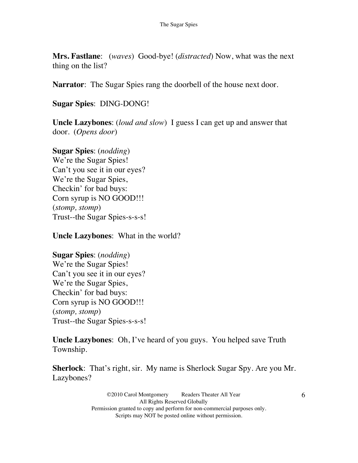**Mrs. Fastlane**: (*waves*) Good-bye! (*distracted*) Now, what was the next thing on the list?

**Narrator**: The Sugar Spies rang the doorbell of the house next door.

**Sugar Spies**: DING-DONG!

**Uncle Lazybones**: (*loud and slow*) I guess I can get up and answer that door. (*Opens door*)

**Sugar Spies**: (*nodding*) We're the Sugar Spies! Can't you see it in our eyes? We're the Sugar Spies, Checkin' for bad buys: Corn syrup is NO GOOD!!! (*stomp, stomp*) Trust--the Sugar Spies-s-s-s!

**Uncle Lazybones**: What in the world?

**Sugar Spies**: (*nodding*) We're the Sugar Spies! Can't you see it in our eyes? We're the Sugar Spies, Checkin' for bad buys: Corn syrup is NO GOOD!!! (*stomp, stomp*) Trust--the Sugar Spies-s-s-s!

**Uncle Lazybones**: Oh, I've heard of you guys. You helped save Truth Township.

**Sherlock**: That's right, sir. My name is Sherlock Sugar Spy. Are you Mr. Lazybones?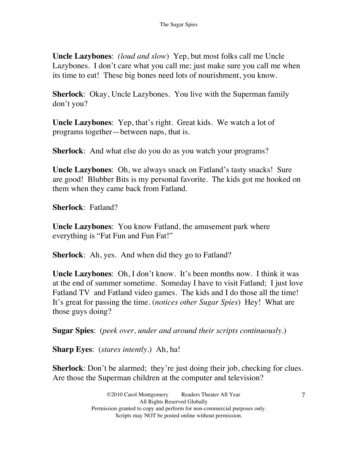**Uncle Lazybones**: *(loud and slow*) Yep, but most folks call me Uncle Lazybones. I don't care what you call me; just make sure you call me when its time to eat! These big bones need lots of nourishment, you know.

**Sherlock**: Okay, Uncle Lazybones. You live with the Superman family don't you?

**Uncle Lazybones**: Yep, that's right. Great kids. We watch a lot of programs together—between naps, that is.

**Sherlock**: And what else do you do as you watch your programs?

**Uncle Lazybones**: Oh, we always snack on Fatland's tasty snacks! Sure are good! Blubber Bits is my personal favorite. The kids got me hooked on them when they came back from Fatland.

**Sherlock**: Fatland?

**Uncle Lazybones**: You know Fatland, the amusement park where everything is "Fat Fun and Fun Fat!"

**Sherlock**: Ah, yes. And when did they go to Fatland?

**Uncle Lazybones**: Oh, I don't know. It's been months now. I think it was at the end of summer sometime. Someday I have to visit Fatland; I just love Fatland TV and Fatland video games. The kids and I do those all the time! It's great for passing the time. (*notices other Sugar Spies*) Hey! What are those guys doing?

**Sugar Spies**: (*peek over, under and around their scripts continuously*.)

**Sharp Eyes**: (*stares intently*.) Ah, ha!

**Sherlock**: Don't be alarmed; they're just doing their job, checking for clues. Are those the Superman children at the computer and television?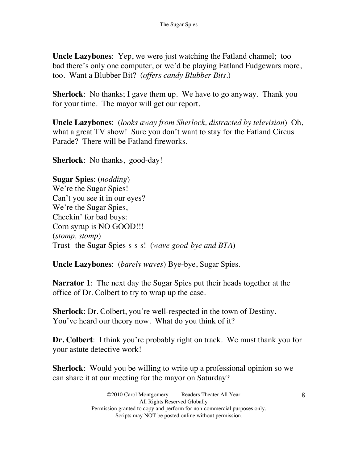**Uncle Lazybones**: Yep, we were just watching the Fatland channel; too bad there's only one computer, or we'd be playing Fatland Fudgewars more, too. Want a Blubber Bit? (*offers candy Blubber Bits*.)

**Sherlock**: No thanks; I gave them up. We have to go anyway. Thank you for your time. The mayor will get our report.

**Uncle Lazybones**: (*looks away from Sherlock, distracted by television*) Oh, what a great TV show! Sure you don't want to stay for the Fatland Circus Parade? There will be Fatland fireworks.

**Sherlock**: No thanks, good-day!

**Sugar Spies**: (*nodding*) We're the Sugar Spies! Can't you see it in our eyes? We're the Sugar Spies, Checkin' for bad buys: Corn syrup is NO GOOD!!! (*stomp, stomp*) Trust--the Sugar Spies-s-s-s! (*wave good-bye and BTA*)

**Uncle Lazybones**: (*barely waves*) Bye-bye, Sugar Spies.

**Narrator 1**: The next day the Sugar Spies put their heads together at the office of Dr. Colbert to try to wrap up the case.

**Sherlock**: Dr. Colbert, you're well-respected in the town of Destiny. You've heard our theory now. What do you think of it?

**Dr. Colbert**: I think you're probably right on track. We must thank you for your astute detective work!

**Sherlock**: Would you be willing to write up a professional opinion so we can share it at our meeting for the mayor on Saturday?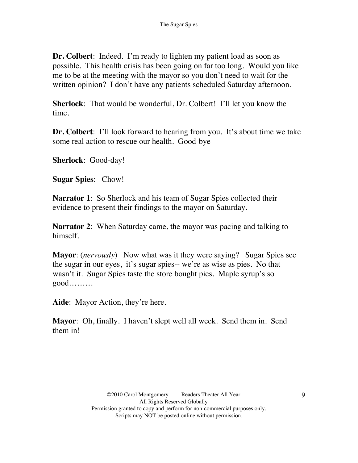**Dr. Colbert**: Indeed. I'm ready to lighten my patient load as soon as possible. This health crisis has been going on far too long. Would you like me to be at the meeting with the mayor so you don't need to wait for the written opinion? I don't have any patients scheduled Saturday afternoon.

**Sherlock**: That would be wonderful, Dr. Colbert! I'll let you know the time.

**Dr. Colbert**: I'll look forward to hearing from you. It's about time we take some real action to rescue our health. Good-bye

**Sherlock**: Good-day!

**Sugar Spies**: Chow!

**Narrator 1:** So Sherlock and his team of Sugar Spies collected their evidence to present their findings to the mayor on Saturday.

**Narrator 2**: When Saturday came, the mayor was pacing and talking to himself.

**Mayor**: (*nervously*) Now what was it they were saying? Sugar Spies see the sugar in our eyes, it's sugar spies-- we're as wise as pies. No that wasn't it. Sugar Spies taste the store bought pies. Maple syrup's so good………

**Aide**: Mayor Action, they're here.

**Mayor**: Oh, finally. I haven't slept well all week. Send them in. Send them in!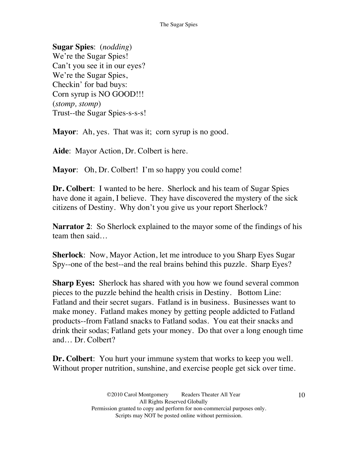**Sugar Spies**: (*nodding*) We're the Sugar Spies! Can't you see it in our eyes? We're the Sugar Spies, Checkin' for bad buys: Corn syrup is NO GOOD!!! (*stomp, stomp*) Trust--the Sugar Spies-s-s-s!

**Mayor:** Ah, yes. That was it; corn syrup is no good.

**Aide**: Mayor Action, Dr. Colbert is here.

**Mayor**: Oh, Dr. Colbert! I'm so happy you could come!

**Dr. Colbert**: I wanted to be here. Sherlock and his team of Sugar Spies have done it again, I believe. They have discovered the mystery of the sick citizens of Destiny. Why don't you give us your report Sherlock?

**Narrator 2:** So Sherlock explained to the mayor some of the findings of his team then said…

**Sherlock**: Now, Mayor Action, let me introduce to you Sharp Eyes Sugar Spy--one of the best--and the real brains behind this puzzle. Sharp Eyes?

**Sharp Eyes:** Sherlock has shared with you how we found several common pieces to the puzzle behind the health crisis in Destiny. Bottom Line: Fatland and their secret sugars. Fatland is in business. Businesses want to make money. Fatland makes money by getting people addicted to Fatland products--from Fatland snacks to Fatland sodas. You eat their snacks and drink their sodas; Fatland gets your money. Do that over a long enough time and… Dr. Colbert?

**Dr. Colbert**: You hurt your immune system that works to keep you well. Without proper nutrition, sunshine, and exercise people get sick over time.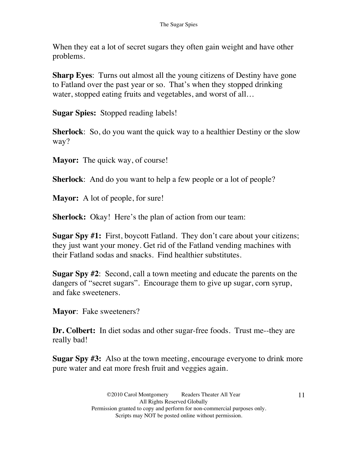When they eat a lot of secret sugars they often gain weight and have other problems.

**Sharp Eyes**: Turns out almost all the young citizens of Destiny have gone to Fatland over the past year or so. That's when they stopped drinking water, stopped eating fruits and vegetables, and worst of all...

**Sugar Spies:** Stopped reading labels!

**Sherlock**: So, do you want the quick way to a healthier Destiny or the slow way?

**Mayor:** The quick way, of course!

**Sherlock**: And do you want to help a few people or a lot of people?

**Mayor:** A lot of people, for sure!

**Sherlock:** Okay! Here's the plan of action from our team:

**Sugar Spy #1:** First, boycott Fatland. They don't care about your citizens; they just want your money. Get rid of the Fatland vending machines with their Fatland sodas and snacks. Find healthier substitutes.

**Sugar Spy #2**: Second, call a town meeting and educate the parents on the dangers of "secret sugars". Encourage them to give up sugar, corn syrup, and fake sweeteners.

**Mayor**: Fake sweeteners?

**Dr. Colbert:** In diet sodas and other sugar-free foods. Trust me--they are really bad!

**Sugar Spy #3:** Also at the town meeting, encourage everyone to drink more pure water and eat more fresh fruit and veggies again.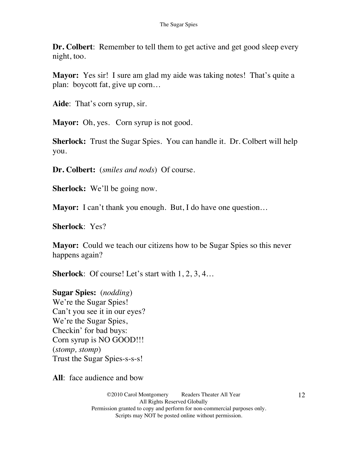**Dr. Colbert**: Remember to tell them to get active and get good sleep every night, too.

**Mayor:** Yes sir! I sure am glad my aide was taking notes! That's quite a plan: boycott fat, give up corn…

**Aide**: That's corn syrup, sir.

Mayor: Oh, yes. Corn syrup is not good.

**Sherlock:** Trust the Sugar Spies. You can handle it. Dr. Colbert will help you.

**Dr. Colbert:** (*smiles and nods*) Of course.

**Sherlock:** We'll be going now.

**Mayor:** I can't thank you enough. But, I do have one question...

**Sherlock**: Yes?

**Mayor:** Could we teach our citizens how to be Sugar Spies so this never happens again?

**Sherlock**: Of course! Let's start with 1, 2, 3, 4...

**Sugar Spies:** (*nodding*) We're the Sugar Spies! Can't you see it in our eyes? We're the Sugar Spies, Checkin' for bad buys: Corn syrup is NO GOOD!!! (*stomp, stomp*) Trust the Sugar Spies-s-s-s!

**All**: face audience and bow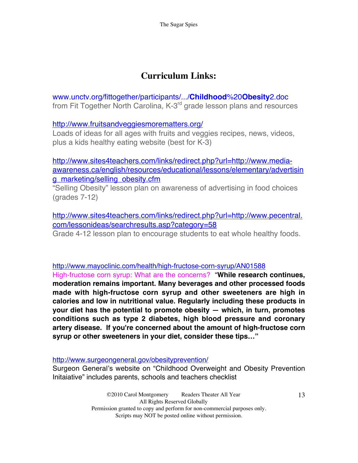# **Curriculum Links:**

www.unctv.org/fittogether/participants/.../**Childhood**%20**Obesity**2.doc from Fit Together North Carolina, K-3<sup>rd</sup> grade lesson plans and resources

http://www.fruitsandveggiesmorematters.org/

Loads of ideas for all ages with fruits and veggies recipes, news, videos, plus a kids healthy eating website (best for K-3)

http://www.sites4teachers.com/links/redirect.php?url=http://www.mediaawareness.ca/english/resources/educational/lessons/elementary/advertisin g\_marketing/selling\_obesity.cfm

"Selling Obesity" lesson plan on awareness of advertising in food choices (grades 7-12)

http://www.sites4teachers.com/links/redirect.php?url=http://www.pecentral. com/lessonideas/searchresults.asp?category=58

Grade 4-12 lesson plan to encourage students to eat whole healthy foods.

http://www.mayoclinic.com/health/high-fructose-corn-syrup/AN01588

High-fructose corn syrup: What are the concerns? "**While research continues, moderation remains important. Many beverages and other processed foods made with high-fructose corn syrup and other sweeteners are high in calories and low in nutritional value. Regularly including these products in your diet has the potential to promote obesity — which, in turn, promotes conditions such as type 2 diabetes, high blood pressure and coronary artery disease. If you're concerned about the amount of high-fructose corn syrup or other sweeteners in your diet, consider these tips…"**

http://www.surgeongeneral.gov/obesityprevention/

Surgeon General's website on "Childhood Overweight and Obesity Prevention Initaiative" includes parents, schools and teachers checklist